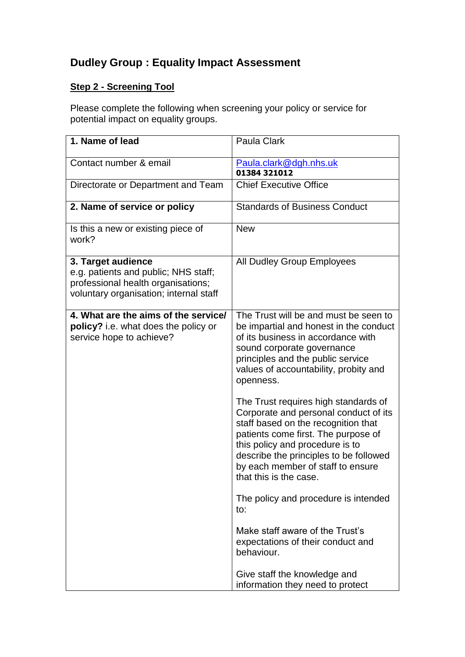# **Dudley Group : Equality Impact Assessment**

# **Step 2 - Screening Tool**

Please complete the following when screening your policy or service for potential impact on equality groups.

| 1. Name of lead                                                                                                                            | Paula Clark                                                                                                                                                                                                                                                                                             |
|--------------------------------------------------------------------------------------------------------------------------------------------|---------------------------------------------------------------------------------------------------------------------------------------------------------------------------------------------------------------------------------------------------------------------------------------------------------|
| Contact number & email                                                                                                                     | Paula.clark@dgh.nhs.uk<br>01384 321012                                                                                                                                                                                                                                                                  |
| Directorate or Department and Team                                                                                                         | <b>Chief Executive Office</b>                                                                                                                                                                                                                                                                           |
| 2. Name of service or policy                                                                                                               | <b>Standards of Business Conduct</b>                                                                                                                                                                                                                                                                    |
| Is this a new or existing piece of<br>work?                                                                                                | <b>New</b>                                                                                                                                                                                                                                                                                              |
| 3. Target audience<br>e.g. patients and public; NHS staff;<br>professional health organisations;<br>voluntary organisation; internal staff | <b>All Dudley Group Employees</b>                                                                                                                                                                                                                                                                       |
| 4. What are the aims of the service/<br>policy? i.e. what does the policy or<br>service hope to achieve?                                   | The Trust will be and must be seen to<br>be impartial and honest in the conduct<br>of its business in accordance with<br>sound corporate governance<br>principles and the public service<br>values of accountability, probity and<br>openness.                                                          |
|                                                                                                                                            | The Trust requires high standards of<br>Corporate and personal conduct of its<br>staff based on the recognition that<br>patients come first. The purpose of<br>this policy and procedure is to<br>describe the principles to be followed<br>by each member of staff to ensure<br>that this is the case. |
|                                                                                                                                            | The policy and procedure is intended<br>to:                                                                                                                                                                                                                                                             |
|                                                                                                                                            | Make staff aware of the Trust's<br>expectations of their conduct and<br>behaviour.                                                                                                                                                                                                                      |
|                                                                                                                                            | Give staff the knowledge and<br>information they need to protect                                                                                                                                                                                                                                        |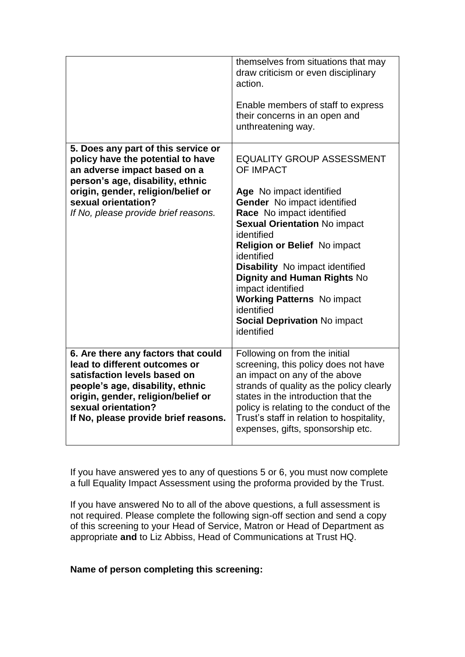|                                                                                                                                                                                                                                                   | themselves from situations that may<br>draw criticism or even disciplinary<br>action.<br>Enable members of staff to express<br>their concerns in an open and<br>unthreatening way.                                                                                                                                                                                                                                                                                  |
|---------------------------------------------------------------------------------------------------------------------------------------------------------------------------------------------------------------------------------------------------|---------------------------------------------------------------------------------------------------------------------------------------------------------------------------------------------------------------------------------------------------------------------------------------------------------------------------------------------------------------------------------------------------------------------------------------------------------------------|
| 5. Does any part of this service or<br>policy have the potential to have<br>an adverse impact based on a<br>person's age, disability, ethnic<br>origin, gender, religion/belief or<br>sexual orientation?<br>If No, please provide brief reasons. | <b>EQUALITY GROUP ASSESSMENT</b><br><b>OF IMPACT</b><br>Age No impact identified<br>Gender No impact identified<br>Race No impact identified<br><b>Sexual Orientation No impact</b><br>identified<br><b>Religion or Belief No impact</b><br>identified<br><b>Disability</b> No impact identified<br><b>Dignity and Human Rights No</b><br>impact identified<br><b>Working Patterns</b> No impact<br>identified<br><b>Social Deprivation No impact</b><br>identified |
| 6. Are there any factors that could<br>lead to different outcomes or<br>satisfaction levels based on<br>people's age, disability, ethnic<br>origin, gender, religion/belief or<br>sexual orientation?<br>If No, please provide brief reasons.     | Following on from the initial<br>screening, this policy does not have<br>an impact on any of the above<br>strands of quality as the policy clearly<br>states in the introduction that the<br>policy is relating to the conduct of the<br>Trust's staff in relation to hospitality,<br>expenses, gifts, sponsorship etc.                                                                                                                                             |

If you have answered yes to any of questions 5 or 6, you must now complete a full Equality Impact Assessment using the proforma provided by the Trust.

If you have answered No to all of the above questions, a full assessment is not required. Please complete the following sign-off section and send a copy of this screening to your Head of Service, Matron or Head of Department as appropriate **and** to Liz Abbiss, Head of Communications at Trust HQ.

#### **Name of person completing this screening:**